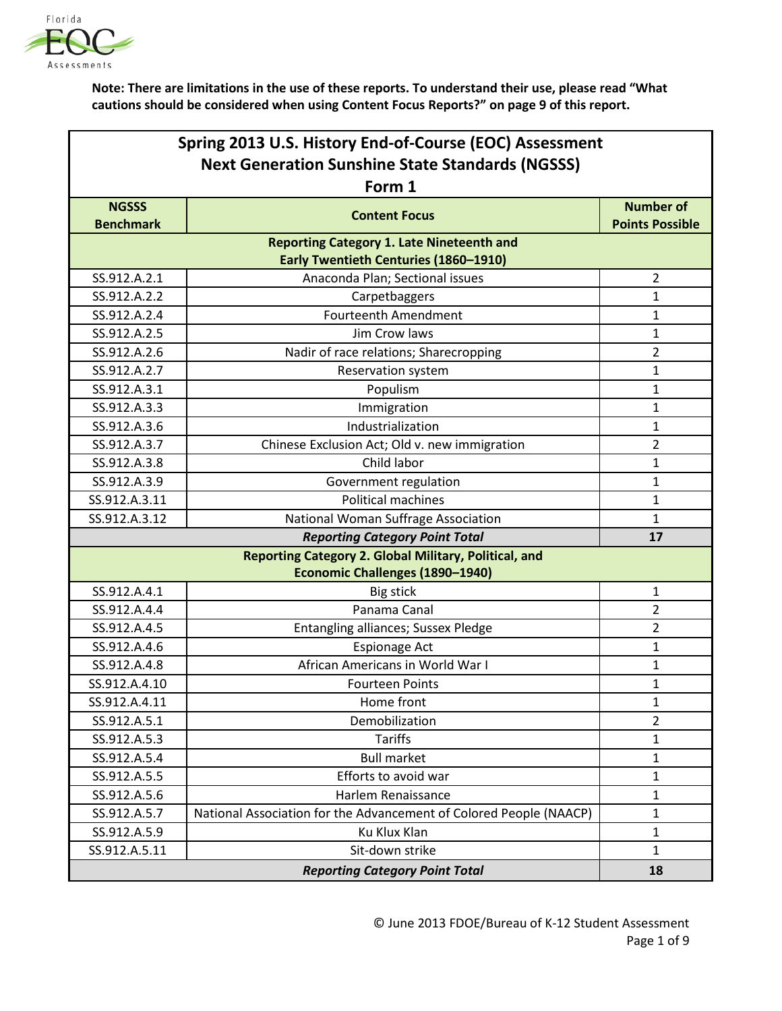

| Spring 2013 U.S. History End-of-Course (EOC) Assessment |                                                                                                  |                        |
|---------------------------------------------------------|--------------------------------------------------------------------------------------------------|------------------------|
| <b>Next Generation Sunshine State Standards (NGSSS)</b> |                                                                                                  |                        |
|                                                         | Form 1                                                                                           |                        |
| <b>NGSSS</b>                                            | <b>Content Focus</b>                                                                             | <b>Number of</b>       |
| <b>Benchmark</b>                                        |                                                                                                  | <b>Points Possible</b> |
|                                                         | <b>Reporting Category 1. Late Nineteenth and</b><br><b>Early Twentieth Centuries (1860-1910)</b> |                        |
| SS.912.A.2.1                                            | Anaconda Plan; Sectional issues                                                                  | $\overline{2}$         |
| SS.912.A.2.2                                            | Carpetbaggers                                                                                    | 1                      |
| SS.912.A.2.4                                            | <b>Fourteenth Amendment</b>                                                                      | $\mathbf{1}$           |
| SS.912.A.2.5                                            | Jim Crow laws                                                                                    | 1                      |
| SS.912.A.2.6                                            | Nadir of race relations; Sharecropping                                                           | $\overline{2}$         |
| SS.912.A.2.7                                            | Reservation system                                                                               | 1                      |
| SS.912.A.3.1                                            | Populism                                                                                         | 1                      |
| SS.912.A.3.3                                            | Immigration                                                                                      | $\mathbf{1}$           |
| SS.912.A.3.6                                            | Industrialization                                                                                | $\mathbf{1}$           |
| SS.912.A.3.7                                            | Chinese Exclusion Act; Old v. new immigration                                                    | $\overline{2}$         |
| SS.912.A.3.8                                            | Child labor                                                                                      | 1                      |
| SS.912.A.3.9                                            | Government regulation                                                                            | 1                      |
| SS.912.A.3.11                                           | <b>Political machines</b>                                                                        | 1                      |
| SS.912.A.3.12                                           | National Woman Suffrage Association                                                              | $\mathbf{1}$           |
|                                                         | <b>Reporting Category Point Total</b>                                                            | 17                     |
|                                                         | Reporting Category 2. Global Military, Political, and                                            |                        |
|                                                         | <b>Economic Challenges (1890-1940)</b>                                                           |                        |
| SS.912.A.4.1                                            | Big stick                                                                                        | 1                      |
| SS.912.A.4.4                                            | Panama Canal                                                                                     | $\overline{2}$         |
| SS.912.A.4.5                                            | Entangling alliances; Sussex Pledge                                                              | $\overline{2}$         |
| SS.912.A.4.6                                            | <b>Espionage Act</b>                                                                             | $\mathbf{1}$           |
| SS.912.A.4.8                                            | African Americans in World War I                                                                 | 1                      |
| SS.912.A.4.10                                           | <b>Fourteen Points</b>                                                                           | 1                      |
| SS.912.A.4.11                                           | Home front                                                                                       | $\mathbf{1}$           |
| SS.912.A.5.1                                            | Demobilization                                                                                   | $\overline{2}$         |
| SS.912.A.5.3                                            | <b>Tariffs</b>                                                                                   | $\mathbf{1}$           |
| SS.912.A.5.4                                            | <b>Bull market</b>                                                                               | $\mathbf{1}$           |
| SS.912.A.5.5                                            | Efforts to avoid war                                                                             | $\mathbf{1}$           |
| SS.912.A.5.6                                            | Harlem Renaissance                                                                               | $\mathbf{1}$           |
| SS.912.A.5.7                                            | National Association for the Advancement of Colored People (NAACP)                               | $\mathbf{1}$           |
| SS.912.A.5.9                                            | Ku Klux Klan                                                                                     | $\mathbf{1}$           |
| SS.912.A.5.11                                           | Sit-down strike                                                                                  | $\mathbf{1}$           |
|                                                         | 18                                                                                               |                        |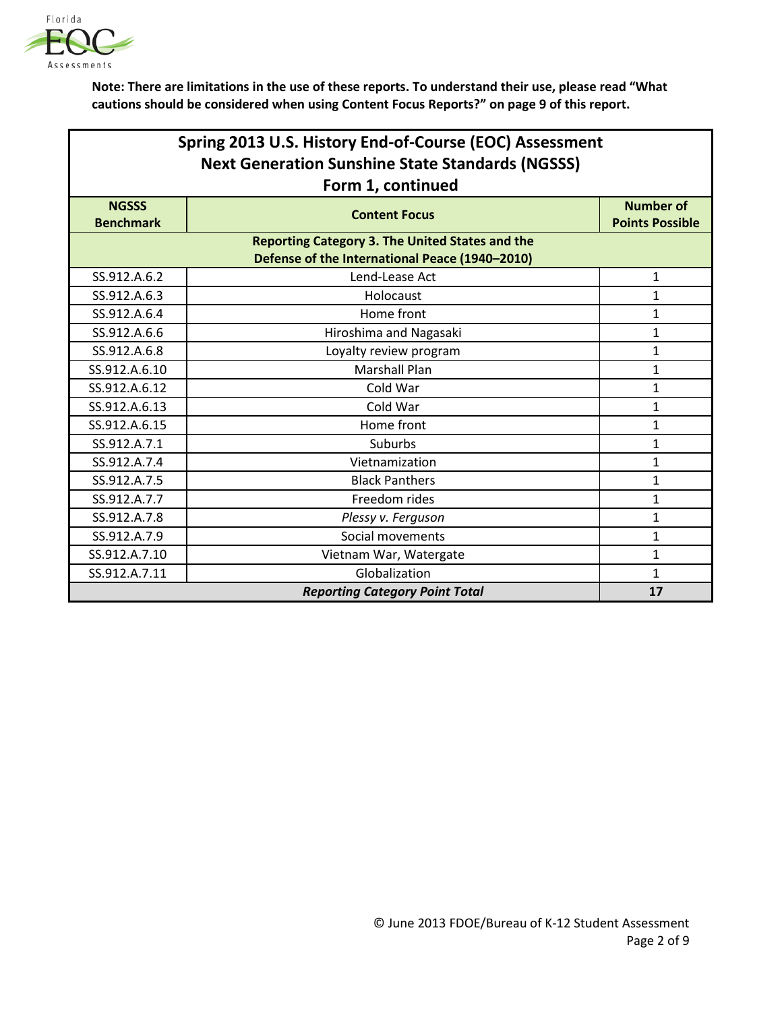

| Spring 2013 U.S. History End-of-Course (EOC) Assessment                                                  |                                       |                        |  |
|----------------------------------------------------------------------------------------------------------|---------------------------------------|------------------------|--|
| <b>Next Generation Sunshine State Standards (NGSSS)</b>                                                  |                                       |                        |  |
|                                                                                                          | Form 1, continued                     |                        |  |
| <b>NGSSS</b>                                                                                             | <b>Content Focus</b>                  | <b>Number of</b>       |  |
| <b>Benchmark</b>                                                                                         |                                       | <b>Points Possible</b> |  |
| <b>Reporting Category 3. The United States and the</b><br>Defense of the International Peace (1940-2010) |                                       |                        |  |
| SS.912.A.6.2                                                                                             | Lend-Lease Act                        | 1                      |  |
| SS.912.A.6.3                                                                                             | Holocaust                             | 1                      |  |
| SS.912.A.6.4                                                                                             | Home front                            | 1                      |  |
| SS.912.A.6.6                                                                                             | Hiroshima and Nagasaki                | $\mathbf{1}$           |  |
| SS.912.A.6.8                                                                                             | Loyalty review program                | $\mathbf{1}$           |  |
| SS.912.A.6.10                                                                                            | <b>Marshall Plan</b>                  | $\mathbf{1}$           |  |
| SS.912.A.6.12                                                                                            | Cold War                              | $\mathbf{1}$           |  |
| SS.912.A.6.13                                                                                            | Cold War                              | 1                      |  |
| SS.912.A.6.15                                                                                            | Home front                            | 1                      |  |
| SS.912.A.7.1                                                                                             | <b>Suburbs</b>                        | 1                      |  |
| SS.912.A.7.4                                                                                             | Vietnamization                        | 1                      |  |
| SS.912.A.7.5                                                                                             | <b>Black Panthers</b>                 | 1                      |  |
| SS.912.A.7.7                                                                                             | Freedom rides                         | $\mathbf{1}$           |  |
| SS.912.A.7.8                                                                                             | Plessy v. Ferguson                    | 1                      |  |
| SS.912.A.7.9                                                                                             | Social movements                      | 1                      |  |
| SS.912.A.7.10                                                                                            | Vietnam War, Watergate                | $\mathbf{1}$           |  |
| SS.912.A.7.11                                                                                            | Globalization                         | $\mathbf{1}$           |  |
|                                                                                                          | <b>Reporting Category Point Total</b> | 17                     |  |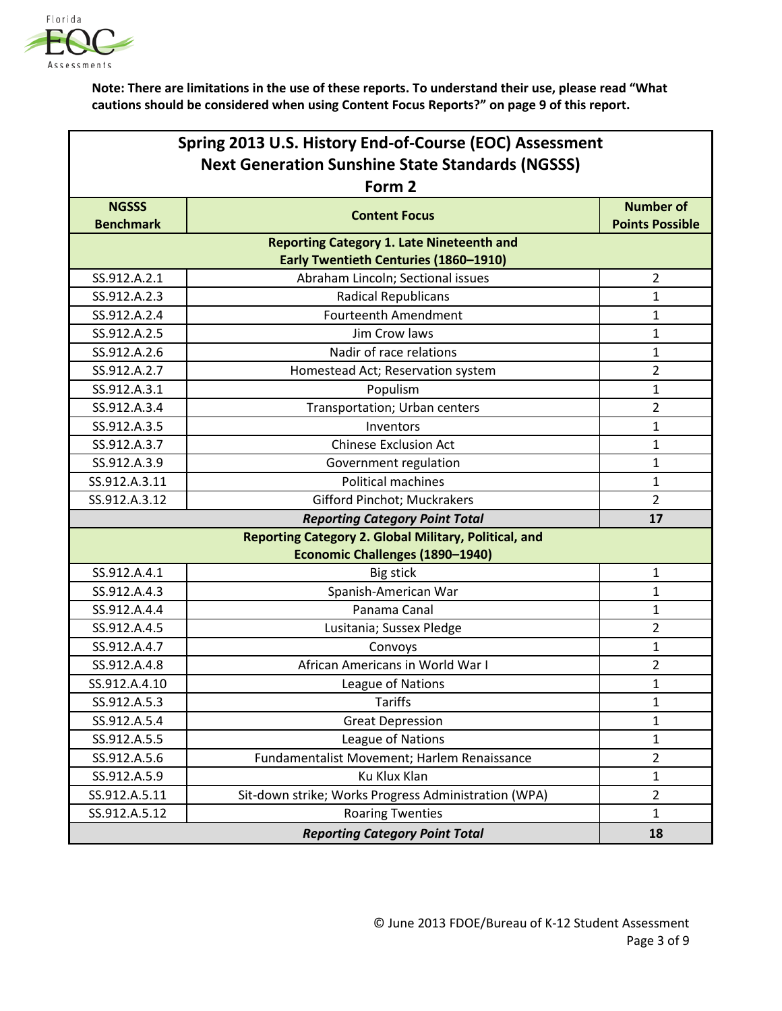

| Spring 2013 U.S. History End-of-Course (EOC) Assessment |                                                       |                        |
|---------------------------------------------------------|-------------------------------------------------------|------------------------|
| <b>Next Generation Sunshine State Standards (NGSSS)</b> |                                                       |                        |
|                                                         | Form 2                                                |                        |
| <b>NGSSS</b>                                            |                                                       | <b>Number of</b>       |
| <b>Benchmark</b>                                        | <b>Content Focus</b>                                  | <b>Points Possible</b> |
|                                                         | <b>Reporting Category 1. Late Nineteenth and</b>      |                        |
|                                                         | <b>Early Twentieth Centuries (1860-1910)</b>          |                        |
| SS.912.A.2.1                                            | Abraham Lincoln; Sectional issues                     | $\overline{2}$         |
| SS.912.A.2.3                                            | <b>Radical Republicans</b>                            | $\mathbf{1}$           |
| SS.912.A.2.4                                            | <b>Fourteenth Amendment</b>                           | 1                      |
| SS.912.A.2.5                                            | Jim Crow laws                                         | $\mathbf{1}$           |
| SS.912.A.2.6                                            | Nadir of race relations                               | $\mathbf{1}$           |
| SS.912.A.2.7                                            | Homestead Act; Reservation system                     | $\overline{2}$         |
| SS.912.A.3.1                                            | Populism                                              | $\mathbf{1}$           |
| SS.912.A.3.4                                            | Transportation; Urban centers                         | $\overline{2}$         |
| SS.912.A.3.5                                            | Inventors                                             | $\mathbf{1}$           |
| SS.912.A.3.7                                            | <b>Chinese Exclusion Act</b>                          | $\mathbf{1}$           |
| SS.912.A.3.9                                            | Government regulation                                 | $\mathbf{1}$           |
| SS.912.A.3.11                                           | <b>Political machines</b>                             | $\mathbf{1}$           |
| SS.912.A.3.12                                           | <b>Gifford Pinchot; Muckrakers</b>                    | $\overline{2}$         |
|                                                         | <b>Reporting Category Point Total</b>                 | 17                     |
|                                                         | Reporting Category 2. Global Military, Political, and |                        |
|                                                         | <b>Economic Challenges (1890-1940)</b>                |                        |
| SS.912.A.4.1                                            | <b>Big stick</b>                                      | $\mathbf{1}$           |
| SS.912.A.4.3                                            | Spanish-American War                                  | $\mathbf{1}$           |
| SS.912.A.4.4                                            | Panama Canal                                          | 1                      |
| SS.912.A.4.5                                            | Lusitania; Sussex Pledge                              | $\overline{2}$         |
| SS.912.A.4.7                                            | Convoys                                               | 1                      |
| SS.912.A.4.8                                            | African Americans in World War I                      | $\overline{2}$         |
| SS.912.A.4.10                                           | League of Nations                                     | 1                      |
| SS.912.A.5.3                                            | <b>Tariffs</b>                                        | 1                      |
| SS.912.A.5.4                                            | <b>Great Depression</b>                               | 1                      |
| SS.912.A.5.5                                            | League of Nations                                     | $\mathbf{1}$           |
| SS.912.A.5.6                                            | Fundamentalist Movement; Harlem Renaissance           | $\overline{2}$         |
| SS.912.A.5.9                                            | Ku Klux Klan                                          | $\mathbf{1}$           |
| SS.912.A.5.11                                           | Sit-down strike; Works Progress Administration (WPA)  | $\overline{2}$         |
| SS.912.A.5.12                                           | <b>Roaring Twenties</b>                               | $\mathbf{1}$           |
|                                                         | <b>Reporting Category Point Total</b>                 | 18                     |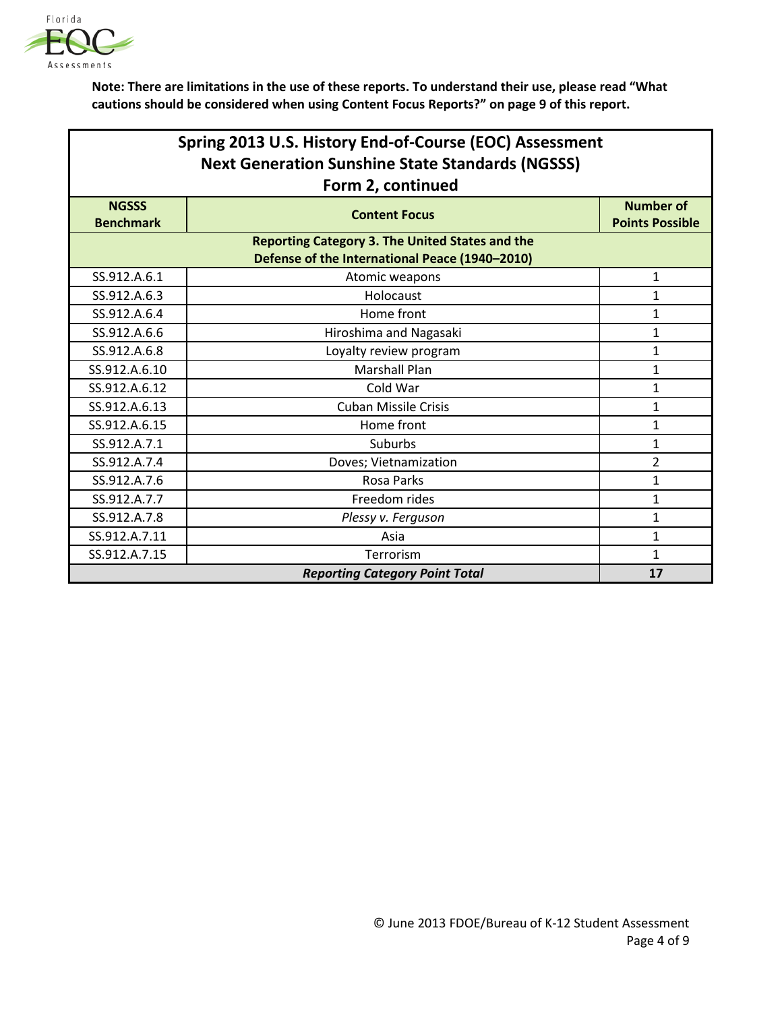

| Spring 2013 U.S. History End-of-Course (EOC) Assessment<br><b>Next Generation Sunshine State Standards (NGSSS)</b> |                                                        |                        |
|--------------------------------------------------------------------------------------------------------------------|--------------------------------------------------------|------------------------|
| <b>NGSSS</b>                                                                                                       | Form 2, continued                                      | <b>Number of</b>       |
| <b>Benchmark</b>                                                                                                   | <b>Content Focus</b>                                   | <b>Points Possible</b> |
|                                                                                                                    | <b>Reporting Category 3. The United States and the</b> |                        |
|                                                                                                                    | Defense of the International Peace (1940-2010)         |                        |
| SS.912.A.6.1                                                                                                       | Atomic weapons                                         | $\mathbf{1}$           |
| SS.912.A.6.3                                                                                                       | Holocaust                                              | $\mathbf{1}$           |
| SS.912.A.6.4                                                                                                       | Home front                                             | $\mathbf{1}$           |
| SS.912.A.6.6                                                                                                       | Hiroshima and Nagasaki                                 | 1                      |
| SS.912.A.6.8                                                                                                       | Loyalty review program                                 | $\mathbf{1}$           |
| SS.912.A.6.10                                                                                                      | <b>Marshall Plan</b>                                   | 1                      |
| SS.912.A.6.12                                                                                                      | Cold War                                               | 1                      |
| SS.912.A.6.13                                                                                                      | <b>Cuban Missile Crisis</b>                            | 1                      |
| SS.912.A.6.15                                                                                                      | Home front                                             | $\mathbf{1}$           |
| SS.912.A.7.1                                                                                                       | Suburbs                                                | 1                      |
| SS.912.A.7.4                                                                                                       | Doves; Vietnamization                                  | $\overline{2}$         |
| SS.912.A.7.6                                                                                                       | <b>Rosa Parks</b>                                      | 1                      |
| SS.912.A.7.7                                                                                                       | Freedom rides                                          | $\mathbf{1}$           |
| SS.912.A.7.8                                                                                                       | Plessy v. Ferguson                                     | 1                      |
| SS.912.A.7.11                                                                                                      | Asia                                                   | $\mathbf{1}$           |
| SS.912.A.7.15                                                                                                      | Terrorism                                              | 1                      |
|                                                                                                                    | <b>Reporting Category Point Total</b>                  | 17                     |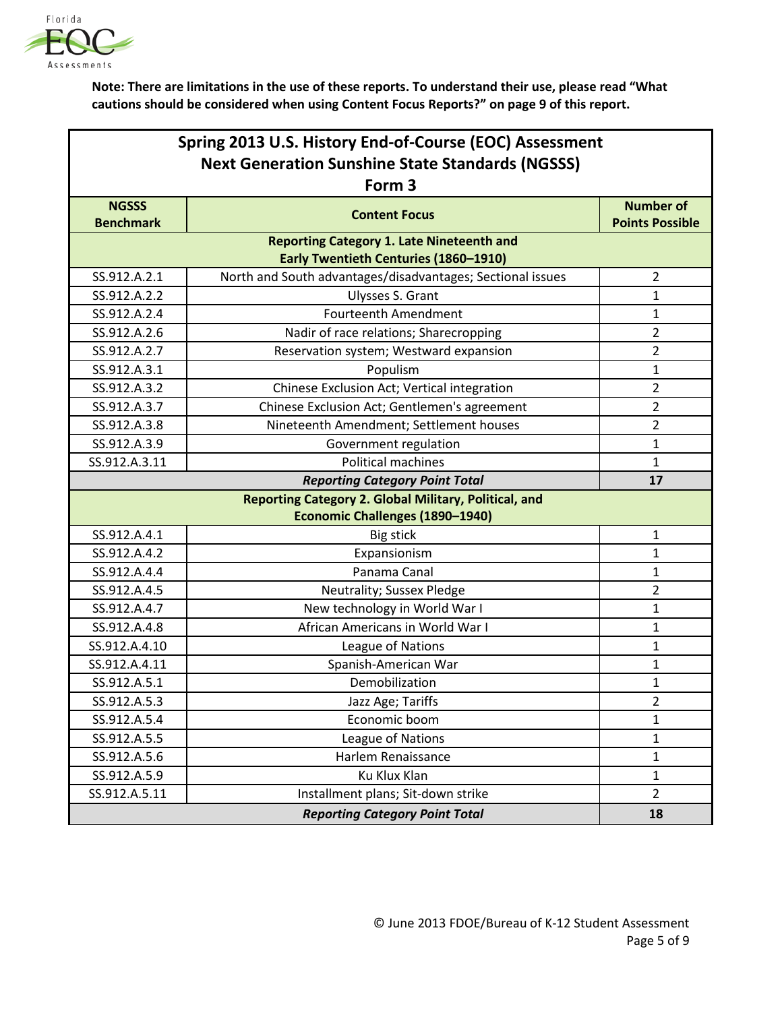

|                                                         | Spring 2013 U.S. History End-of-Course (EOC) Assessment      |                         |  |
|---------------------------------------------------------|--------------------------------------------------------------|-------------------------|--|
| <b>Next Generation Sunshine State Standards (NGSSS)</b> |                                                              |                         |  |
|                                                         | Form <sub>3</sub>                                            |                         |  |
| <b>NGSSS</b>                                            | <b>Content Focus</b>                                         | <b>Number of</b>        |  |
| <b>Benchmark</b>                                        |                                                              | <b>Points Possible</b>  |  |
|                                                         | <b>Reporting Category 1. Late Nineteenth and</b>             |                         |  |
|                                                         | <b>Early Twentieth Centuries (1860-1910)</b>                 |                         |  |
| SS.912.A.2.1                                            | North and South advantages/disadvantages; Sectional issues   | $\overline{2}$          |  |
| SS.912.A.2.2                                            | Ulysses S. Grant                                             | $\mathbf{1}$            |  |
| SS.912.A.2.4                                            | <b>Fourteenth Amendment</b>                                  | $\mathbf{1}$            |  |
| SS.912.A.2.6                                            | Nadir of race relations; Sharecropping                       | $\overline{2}$          |  |
| SS.912.A.2.7                                            | Reservation system; Westward expansion                       | $\overline{2}$          |  |
| SS.912.A.3.1                                            | Populism                                                     | $\mathbf{1}$            |  |
| SS.912.A.3.2                                            | Chinese Exclusion Act; Vertical integration                  | $\overline{2}$          |  |
| SS.912.A.3.7                                            | Chinese Exclusion Act; Gentlemen's agreement                 | $\overline{2}$          |  |
| SS.912.A.3.8                                            | Nineteenth Amendment; Settlement houses                      | $\overline{2}$          |  |
| SS.912.A.3.9                                            | Government regulation                                        | $\mathbf{1}$            |  |
| SS.912.A.3.11                                           | Political machines                                           | $\mathbf{1}$            |  |
|                                                         | <b>Reporting Category Point Total</b>                        | 17                      |  |
|                                                         | <b>Reporting Category 2. Global Military, Political, and</b> |                         |  |
|                                                         | Economic Challenges (1890-1940)                              |                         |  |
| SS.912.A.4.1                                            | <b>Big stick</b>                                             | $\mathbf{1}$            |  |
| SS.912.A.4.2                                            | Expansionism                                                 | $\mathbf{1}$            |  |
| SS.912.A.4.4                                            | Panama Canal                                                 | $\mathbf{1}$            |  |
| SS.912.A.4.5                                            | Neutrality; Sussex Pledge                                    | $\overline{2}$          |  |
| SS.912.A.4.7                                            | New technology in World War I                                | $\mathbf{1}$            |  |
| SS.912.A.4.8                                            | African Americans in World War I                             | $\mathbf{1}$            |  |
| SS.912.A.4.10                                           | League of Nations                                            | $\mathbf{1}$            |  |
| SS.912.A.4.11                                           | Spanish-American War                                         | $\mathbf{1}$            |  |
| SS.912.A.5.1                                            | Demobilization                                               | 1                       |  |
| SS.912.A.5.3                                            | Jazz Age; Tariffs                                            | $\overline{\mathbf{c}}$ |  |
| SS.912.A.5.4                                            | Economic boom                                                | 1                       |  |
| SS.912.A.5.5                                            | League of Nations                                            | $\mathbf{1}$            |  |
| SS.912.A.5.6                                            | Harlem Renaissance                                           | $\mathbf{1}$            |  |
| SS.912.A.5.9                                            | Ku Klux Klan                                                 | $\mathbf{1}$            |  |
| SS.912.A.5.11                                           | Installment plans; Sit-down strike                           | $\overline{2}$          |  |
|                                                         | <b>Reporting Category Point Total</b>                        | 18                      |  |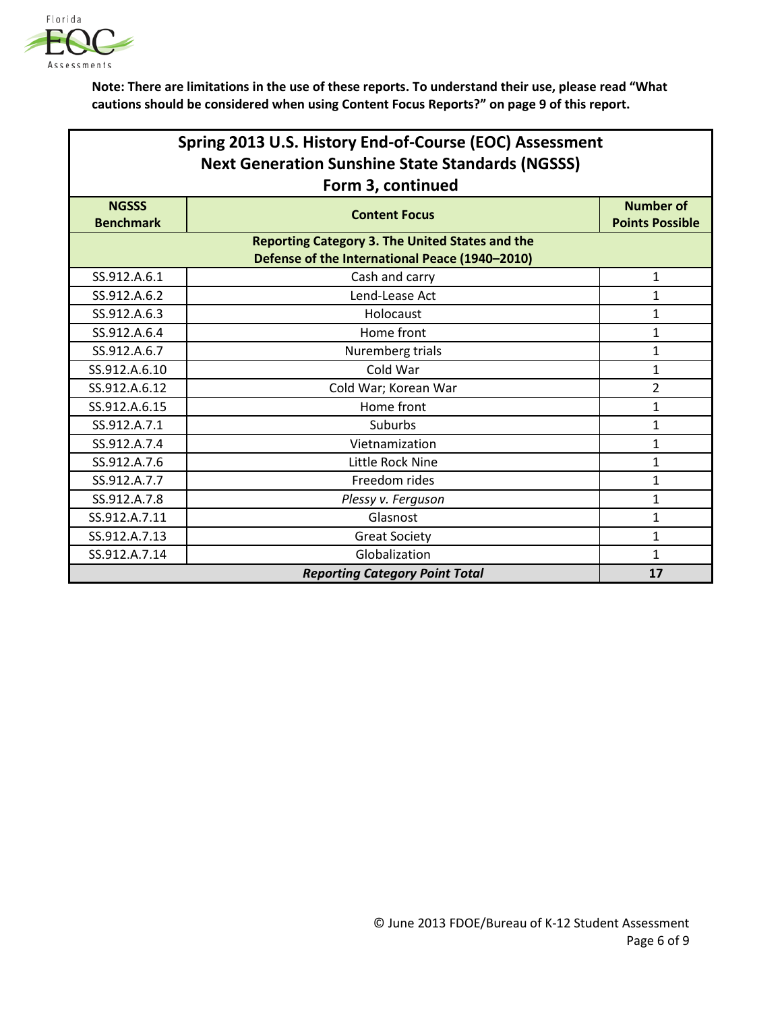

| Spring 2013 U.S. History End-of-Course (EOC) Assessment |                                                        |                                            |
|---------------------------------------------------------|--------------------------------------------------------|--------------------------------------------|
| <b>Next Generation Sunshine State Standards (NGSSS)</b> |                                                        |                                            |
|                                                         | Form 3, continued                                      |                                            |
| <b>NGSSS</b><br><b>Benchmark</b>                        | <b>Content Focus</b>                                   | <b>Number of</b><br><b>Points Possible</b> |
|                                                         | <b>Reporting Category 3. The United States and the</b> |                                            |
|                                                         | Defense of the International Peace (1940-2010)         |                                            |
| SS.912.A.6.1                                            | Cash and carry                                         | 1                                          |
| SS.912.A.6.2                                            | Lend-Lease Act                                         | $\mathbf{1}$                               |
| SS.912.A.6.3                                            | Holocaust                                              | 1                                          |
| SS.912.A.6.4                                            | Home front                                             | $\mathbf{1}$                               |
| SS.912.A.6.7                                            | Nuremberg trials                                       | $\mathbf{1}$                               |
| SS.912.A.6.10                                           | Cold War                                               | 1                                          |
| SS.912.A.6.12                                           | Cold War; Korean War                                   | $\overline{2}$                             |
| SS.912.A.6.15                                           | Home front                                             | 1                                          |
| SS.912.A.7.1                                            | Suburbs                                                | $\mathbf{1}$                               |
| SS.912.A.7.4                                            | Vietnamization                                         | 1                                          |
| SS.912.A.7.6                                            | Little Rock Nine                                       | 1                                          |
| SS.912.A.7.7                                            | Freedom rides                                          | 1                                          |
| SS.912.A.7.8                                            | Plessy v. Ferguson                                     | 1                                          |
| SS.912.A.7.11                                           | Glasnost                                               | $\mathbf{1}$                               |
| SS.912.A.7.13                                           | <b>Great Society</b>                                   | 1                                          |
| SS.912.A.7.14                                           | Globalization                                          | 1                                          |
|                                                         | <b>Reporting Category Point Total</b>                  | 17                                         |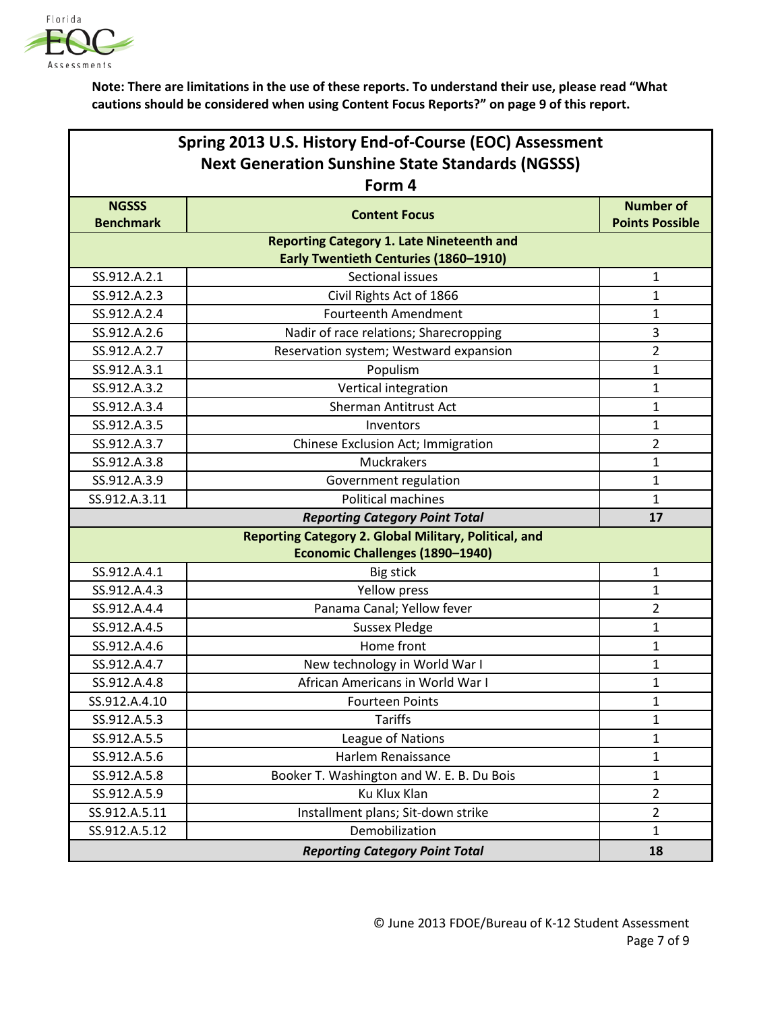

|                                                         | Spring 2013 U.S. History End-of-Course (EOC) Assessment |                        |  |
|---------------------------------------------------------|---------------------------------------------------------|------------------------|--|
| <b>Next Generation Sunshine State Standards (NGSSS)</b> |                                                         |                        |  |
|                                                         | Form 4                                                  |                        |  |
| <b>NGSSS</b>                                            | <b>Content Focus</b>                                    | <b>Number of</b>       |  |
| <b>Benchmark</b>                                        |                                                         | <b>Points Possible</b> |  |
|                                                         | <b>Reporting Category 1. Late Nineteenth and</b>        |                        |  |
|                                                         | Early Twentieth Centuries (1860-1910)                   |                        |  |
| SS.912.A.2.1                                            | Sectional issues                                        | $\mathbf{1}$           |  |
| SS.912.A.2.3                                            | Civil Rights Act of 1866                                | 1                      |  |
| SS.912.A.2.4                                            | <b>Fourteenth Amendment</b>                             | 1                      |  |
| SS.912.A.2.6                                            | Nadir of race relations; Sharecropping                  | 3                      |  |
| SS.912.A.2.7                                            | Reservation system; Westward expansion                  | $\overline{2}$         |  |
| SS.912.A.3.1                                            | Populism                                                | $\mathbf{1}$           |  |
| SS.912.A.3.2                                            | Vertical integration                                    | $\mathbf{1}$           |  |
| SS.912.A.3.4                                            | Sherman Antitrust Act                                   | 1                      |  |
| SS.912.A.3.5                                            | Inventors                                               | $\mathbf{1}$           |  |
| SS.912.A.3.7                                            | Chinese Exclusion Act; Immigration                      | $\overline{2}$         |  |
| SS.912.A.3.8                                            | Muckrakers                                              | 1                      |  |
| SS.912.A.3.9                                            | Government regulation                                   | $\mathbf{1}$           |  |
| SS.912.A.3.11                                           | <b>Political machines</b>                               | $\mathbf{1}$           |  |
| <b>Reporting Category Point Total</b>                   |                                                         | 17                     |  |
| Reporting Category 2. Global Military, Political, and   |                                                         |                        |  |
|                                                         | Economic Challenges (1890-1940)                         |                        |  |
| SS.912.A.4.1                                            | <b>Big stick</b>                                        | $\mathbf{1}$           |  |
| SS.912.A.4.3                                            | Yellow press                                            | 1                      |  |
| SS.912.A.4.4                                            | Panama Canal; Yellow fever                              | $\overline{2}$         |  |
| SS.912.A.4.5                                            | <b>Sussex Pledge</b>                                    | 1                      |  |
| SS.912.A.4.6                                            | Home front                                              | 1                      |  |
| SS.912.A.4.7                                            | New technology in World War I                           | $\mathbf{1}$           |  |
| SS.912.A.4.8                                            | African Americans in World War I                        | $\mathbf{1}$           |  |
| SS.912.A.4.10                                           | <b>Fourteen Points</b>                                  | $\mathbf 1$            |  |
| SS.912.A.5.3                                            | <b>Tariffs</b>                                          | $\mathbf{1}$           |  |
| SS.912.A.5.5                                            | League of Nations                                       | $\mathbf{1}$           |  |
| SS.912.A.5.6                                            | Harlem Renaissance                                      | $\mathbf{1}$           |  |
| SS.912.A.5.8                                            | Booker T. Washington and W. E. B. Du Bois               | $\mathbf{1}$           |  |
| SS.912.A.5.9                                            | Ku Klux Klan                                            | $\overline{2}$         |  |
| SS.912.A.5.11                                           | Installment plans; Sit-down strike                      | $\overline{2}$         |  |
| SS.912.A.5.12                                           | Demobilization                                          | $\mathbf{1}$           |  |
|                                                         | <b>Reporting Category Point Total</b>                   | 18                     |  |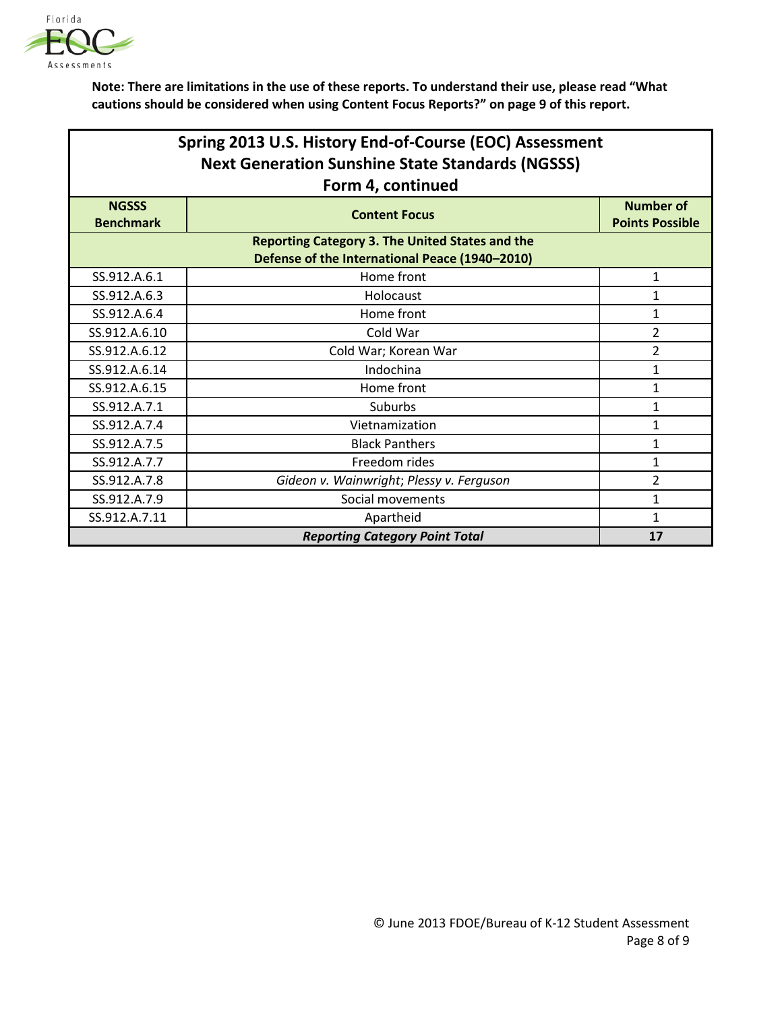

| Spring 2013 U.S. History End-of-Course (EOC) Assessment<br><b>Next Generation Sunshine State Standards (NGSSS)</b><br>Form 4, continued |                                          |                                            |
|-----------------------------------------------------------------------------------------------------------------------------------------|------------------------------------------|--------------------------------------------|
| <b>NGSSS</b><br><b>Benchmark</b>                                                                                                        | <b>Content Focus</b>                     | <b>Number of</b><br><b>Points Possible</b> |
| <b>Reporting Category 3. The United States and the</b><br>Defense of the International Peace (1940-2010)                                |                                          |                                            |
| SS.912.A.6.1                                                                                                                            | Home front                               | 1                                          |
| SS.912.A.6.3                                                                                                                            | Holocaust                                | 1                                          |
| SS.912.A.6.4                                                                                                                            | Home front                               | 1                                          |
| SS.912.A.6.10                                                                                                                           | Cold War                                 | $\overline{2}$                             |
| SS.912.A.6.12                                                                                                                           | Cold War; Korean War                     | $\overline{2}$                             |
| SS.912.A.6.14                                                                                                                           | Indochina                                | 1                                          |
| SS.912.A.6.15                                                                                                                           | Home front                               | 1                                          |
| SS.912.A.7.1                                                                                                                            | Suburbs                                  | 1                                          |
| SS.912.A.7.4                                                                                                                            | Vietnamization                           | 1                                          |
| SS.912.A.7.5                                                                                                                            | <b>Black Panthers</b>                    | 1                                          |
| SS.912.A.7.7                                                                                                                            | Freedom rides                            | 1                                          |
| SS.912.A.7.8                                                                                                                            | Gideon v. Wainwright; Plessy v. Ferguson | $\overline{2}$                             |
| SS.912.A.7.9                                                                                                                            | Social movements                         | 1                                          |
| SS.912.A.7.11                                                                                                                           | Apartheid                                | 1                                          |
|                                                                                                                                         | <b>Reporting Category Point Total</b>    | 17                                         |